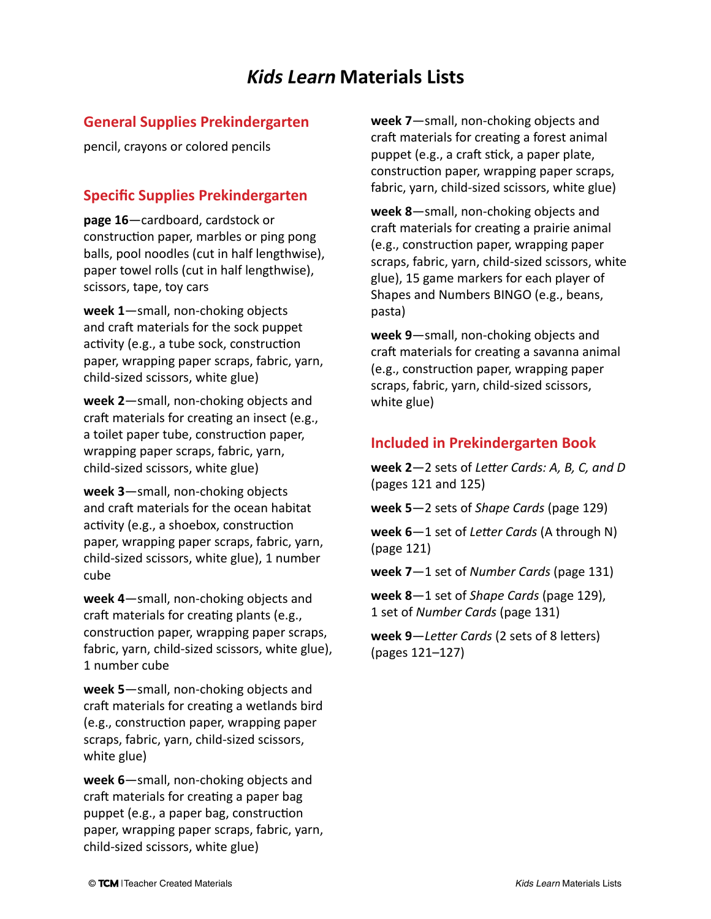#### **General Supplies Prekindergarten**

pencil, crayons or colored pencils

# **Specific Supplies Prekindergarten**

**page 16**—cardboard, cardstock or construction paper, marbles or ping pong balls, pool noodles (cut in half lengthwise), paper towel rolls (cut in half lengthwise), scissors, tape, toy cars

**week 1**—small, non-choking objects and craft materials for the sock puppet activity (e.g., a tube sock, construction paper, wrapping paper scraps, fabric, yarn, child‑sized scissors, white glue)

**week 2**—small, non-choking objects and craft materials for creating an insect (e.g., a toilet paper tube, construction paper, wrapping paper scraps, fabric, yarn, child‑sized scissors, white glue)

**week 3**—small, non-choking objects and craft materials for the ocean habitat activity (e.g., a shoebox, construction paper, wrapping paper scraps, fabric, yarn, child‑sized scissors, white glue), 1 number cube

**week 4**—small, non-choking objects and craft materials for creating plants (e.g., construction paper, wrapping paper scraps, fabric, yarn, child-sized scissors, white glue), 1 number cube

**week 5**—small, non-choking objects and craft materials for creating a wetlands bird (e.g., construction paper, wrapping paper scraps, fabric, yarn, child-sized scissors, white glue)

**week 6**—small, non-choking objects and craft materials for creating a paper bag puppet (e.g., a paper bag, construction paper, wrapping paper scraps, fabric, yarn, child-sized scissors, white glue)

**week 7**—small, non-choking objects and craft materials for creating a forest animal puppet (e.g., a craft stick, a paper plate, construction paper, wrapping paper scraps, fabric, yarn, child-sized scissors, white glue)

**week 8**—small, non-choking objects and craft materials for creating a prairie animal (e.g., construction paper, wrapping paper scraps, fabric, yarn, child-sized scissors, white glue), 15 game markers for each player of Shapes and Numbers BINGO (e.g., beans, pasta)

**week 9**—small, non-choking objects and craft materials for creating a savanna animal (e.g., construction paper, wrapping paper scraps, fabric, yarn, child-sized scissors, white glue)

# **Included in Prekindergarten Book**

**week 2**—2 sets of *Letter Cards: A, B, C, and D* (pages 121 and 125)

**week 5**—2 sets of *Shape Cards* (page 129)

**week 6**—1 set of *Letter Cards* (A through N) (page 121)

**week 7**—1 set of *Number Cards* (page 131)

**week 8**—1 set of *Shape Cards* (page 129), 1 set of *Number Cards* (page 131)

**week 9**—*Letter Cards* (2 sets of 8 letters) (pages 121–127)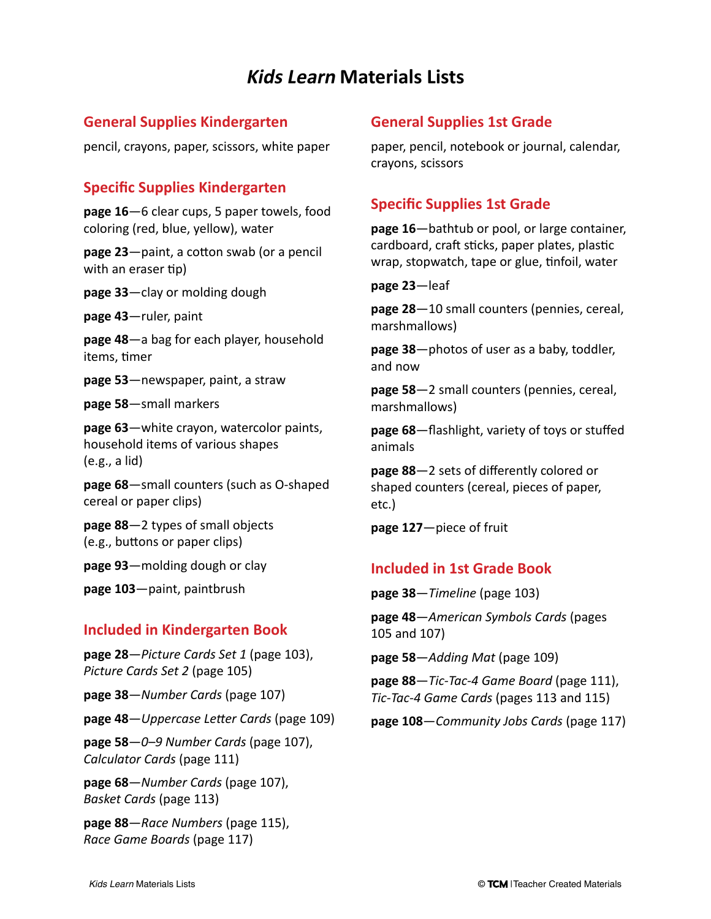### **General Supplies Kindergarten**

pencil, crayons, paper, scissors, white paper

### **Specific Supplies Kindergarten**

**page 16**—6 clear cups, 5 paper towels, food coloring (red, blue, yellow), water

**page 23**—paint, a cotton swab (or a pencil with an eraser tip)

**page 33**—clay or molding dough

**page 43**—ruler, paint

**page 48**—a bag for each player, household items, timer

**page 53**—newspaper, paint, a straw

**page 58**—small markers

**page 63**—white crayon, watercolor paints, household items of various shapes (e.g., a lid)

**page 68**—small counters (such as O-shaped cereal or paper clips)

**page 88**—2 types of small objects (e.g., buttons or paper clips)

**page 93**—molding dough or clay

**page 103**—paint, paintbrush

#### **Included in Kindergarten Book**

**page 28**—*Picture Cards Set 1* (page 103), *Picture Cards Set 2* (page 105)

**page 38**—*Number Cards* (page 107)

**page 48**—*Uppercase Letter Cards* (page 109)

**page 58**—*0–9 Number Cards* (page 107), *Calculator Cards* (page 111)

**page 68**—*Number Cards* (page 107), *Basket Cards* (page 113)

**page 88**—*Race Numbers* (page 115), *Race Game Boards* (page 117)

### **General Supplies 1st Grade**

paper, pencil, notebook or journal, calendar, crayons, scissors

### **Specific Supplies 1st Grade**

**page 16**—bathtub or pool, or large container, cardboard, craft sticks, paper plates, plastic wrap, stopwatch, tape or glue, tinfoil, water

**page 23**—leaf

**page 28**—10 small counters (pennies, cereal, marshmallows)

**page 38**—photos of user as a baby, toddler, and now

**page 58**—2 small counters (pennies, cereal, marshmallows)

**page 68**—flashlight, variety of toys or stuffed animals

**page 88**—2 sets of differently colored or shaped counters (cereal, pieces of paper, etc.)

**page 127**—piece of fruit

#### **Included in 1st Grade Book**

**page 38**—*Timeline* (page 103)

**page 48**—*American Symbols Cards* (pages 105 and 107)

**page 58**—*Adding Mat* (page 109)

**page 88**—*Tic-Tac-4 Game Board* (page 111), *Tic-Tac-4 Game Cards* (pages 113 and 115)

**page 108**—*Community Jobs Cards* (page 117)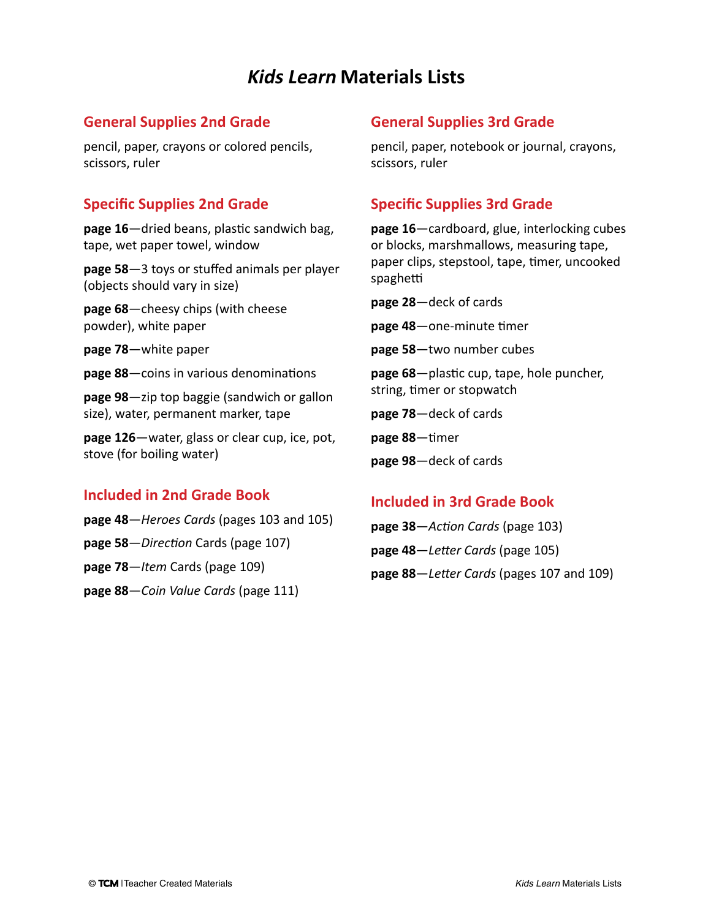### **General Supplies 2nd Grade**

pencil, paper, crayons or colored pencils, scissors, ruler

## **Specific Supplies 2nd Grade**

**page 16**—dried beans, plastic sandwich bag, tape, wet paper towel, window

**page 58**—3 toys or stuffed animals per player (objects should vary in size)

**page 68**—cheesy chips (with cheese powder), white paper

**page 78**—white paper

**page 88**—coins in various denominations

**page 98**—zip top baggie (sandwich or gallon size), water, permanent marker, tape

**page 126**—water, glass or clear cup, ice, pot, stove (for boiling water)

### **Included in 2nd Grade Book**

**page 48**—*Heroes Cards* (pages 103 and 105)

**page 58**—*Direction* Cards (page 107)

**page 78**—*Item* Cards (page 109)

**page 88**—*Coin Value Cards* (page 111)

## **General Supplies 3rd Grade**

pencil, paper, notebook or journal, crayons, scissors, ruler

# **Specific Supplies 3rd Grade**

**page 16**—cardboard, glue, interlocking cubes or blocks, marshmallows, measuring tape, paper clips, stepstool, tape, timer, uncooked spaghetti

**page 28**—deck of cards

**page 48**—one-minute timer

**page 58**—two number cubes

**page 68**—plastic cup, tape, hole puncher, string, timer or stopwatch

**page 78**—deck of cards

**page 88**—timer

**page 98**—deck of cards

### **Included in 3rd Grade Book**

**page 38**—*Action Cards* (page 103) **page 48**—*Letter Cards* (page 105) **page 88**—*Letter Cards* (pages 107 and 109)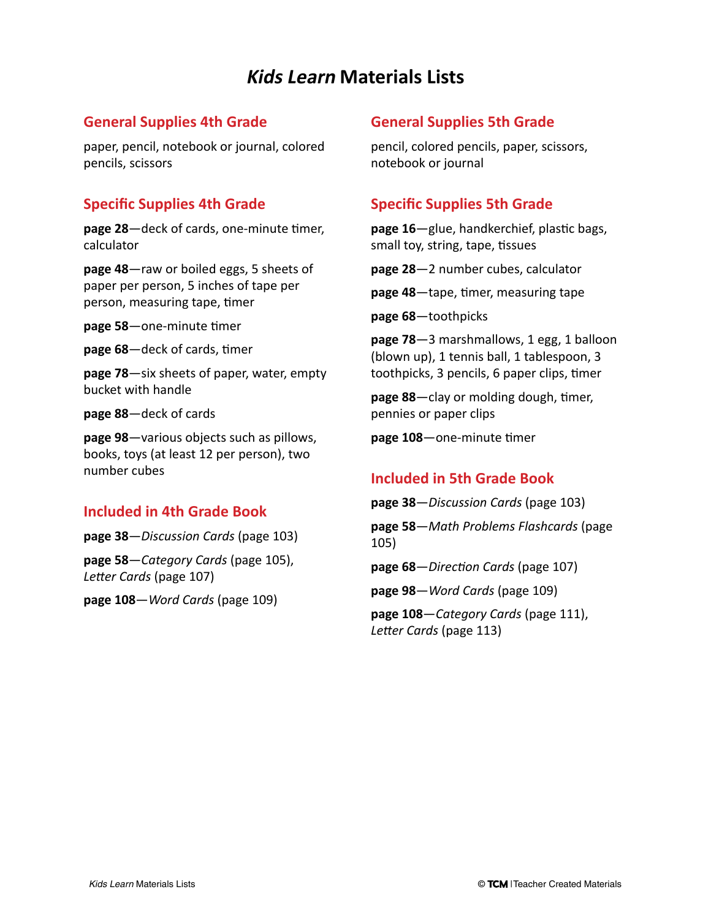### **General Supplies 4th Grade**

paper, pencil, notebook or journal, colored pencils, scissors

### **Specific Supplies 4th Grade**

**page 28**—deck of cards, one-minute timer, calculator

**page 48**—raw or boiled eggs, 5 sheets of paper per person, 5 inches of tape per person, measuring tape, timer

**page 58**—one-minute timer

**page 68**—deck of cards, timer

**page 78**—six sheets of paper, water, empty bucket with handle

**page 88**—deck of cards

**page 98**—various objects such as pillows, books, toys (at least 12 per person), two number cubes

### **Included in 4th Grade Book**

**page 38**—*Discussion Cards* (page 103)

**page 58**—*Category Cards* (page 105), *Letter Cards* (page 107)

**page 108**—*Word Cards* (page 109)

### **General Supplies 5th Grade**

pencil, colored pencils, paper, scissors, notebook or journal

# **Specific Supplies 5th Grade**

**page 16**—glue, handkerchief, plastic bags, small toy, string, tape, tissues

**page 28**—2 number cubes, calculator

**page 48**—tape, timer, measuring tape

**page 68**—toothpicks

**page 78**—3 marshmallows, 1 egg, 1 balloon (blown up), 1 tennis ball, 1 tablespoon, 3 toothpicks, 3 pencils, 6 paper clips, timer

**page 88**—clay or molding dough, timer, pennies or paper clips

**page 108**—one-minute timer

### **Included in 5th Grade Book**

**page 38**—*Discussion Cards* (page 103) **page 58**—*Math Problems Flashcards* (page 105)

**page 68**—*Direction Cards* (page 107)

**page 98**—*Word Cards* (page 109)

**page 108**—*Category Cards* (page 111), *Letter Cards* (page 113)